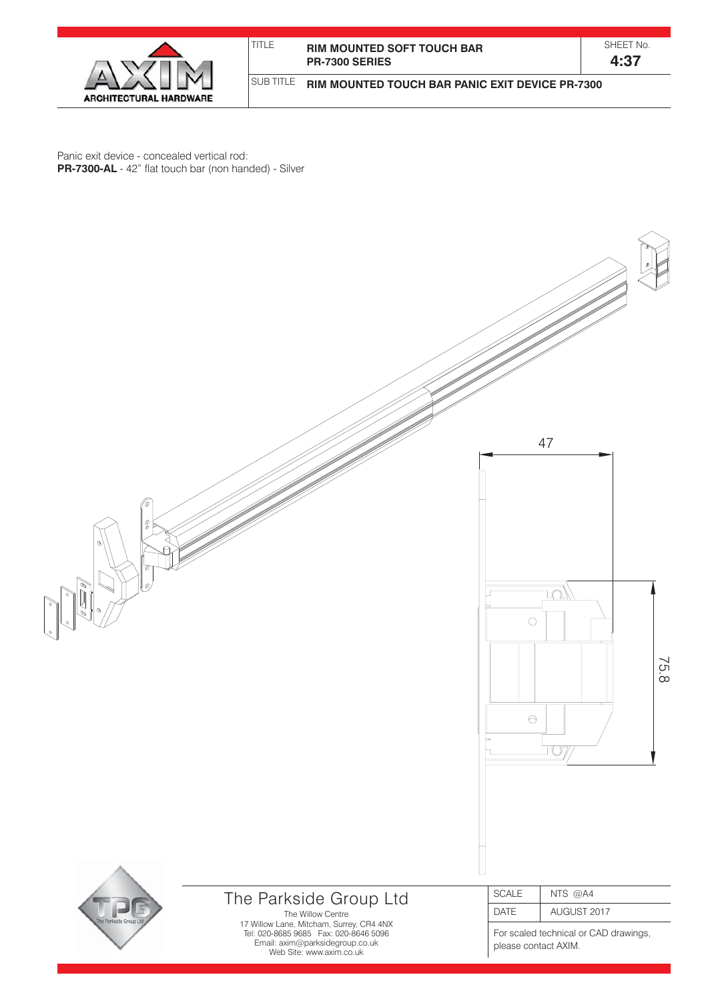

| TITI F | <b>RIM MOUNTED SOFT TOUCH BAR</b> |
|--------|-----------------------------------|
|        | <b>PR-7300 SERIES</b>             |

**RIM MOUNTED TOUCH BAR PANIC EXIT DEVICE PR-7300**

**4:37**

Panic exit device - concealed vertical rod: **PR-7300-AL** - 42" flat touch bar (non handed) - Silver

SUB TITLE

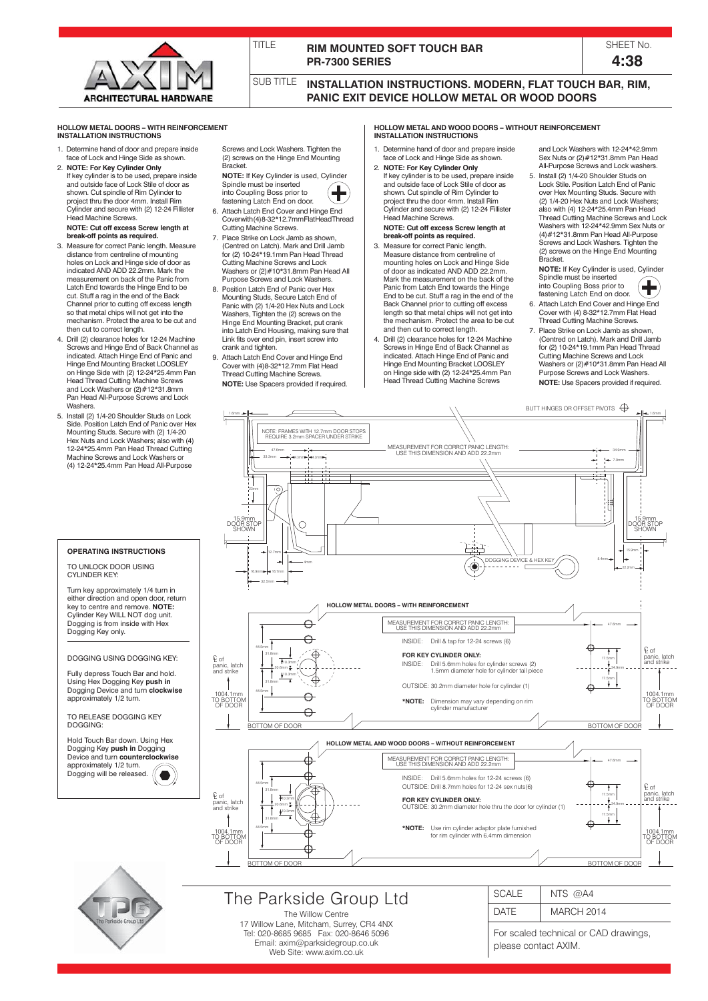

# **RIM MOUNTED SOFT TOUCH BAR PR-7300 SERIES**

| <b>SHEET N</b> | $\Omega$ |
|----------------|----------|
| 4:38           |          |

SUB TITLE

TITLE

**INSTALLATION INSTRUCTIONS. MODERN, FLAT TOUCH BAR, RIM, PANIC EXIT DEVICE HOLLOW METAL OR WOOD DOORS**

## **HOLLOW METAL DOORS – WITH REINFORCEMENT INSTALLATION INSTRUCTIONS**

- Determine hand of door and prepare inside face of Lock and Hinge Side as shown.
- 2. **NOTE: For Key Cylinder Only** If key cylinder is to be used, prepare inside and outside face of Lock Stile of door as shown. Cut spindle of Rim Cylinder to project thru the door 4mm. Install Rim Cylinder and secure with (2) 12-24 Fillister Head Machine Screws.  **NOTE: Cut off excess Screw length at**
- **break-off points as required.** 3. Measure for correct Panic length. Measure distance from centreline of mounting holes on Lock and Hinge side of door as indicated AND ADD 22.2mm. Mark the measurement on back of the Panic from Latch End towards the Hinge End to be cut. Stuff a rag in the end of the Back Channel prior to cutting off excess length so that metal chips will not get into the mechanism. Protect the area to be cut and then cut to correct length.
- 4. Drill (2) clearance holes for 12-24 Machine Screws and Hinge End of Back Channel as indicated. Attach Hinge End of Panic and Hinge End Mounting Bracket LOOSLEY on Hinge Side with (2) 12-24\*25.4mm Pan Head Thread Cutting Machine Screws and Lock Washers or (2)#12\*31.8mm Pan Head All-Purpose Screws and Lock **Washers**
- 5. Install (2) 1/4-20 Shoulder Studs on Lock Side. Position Latch End of Panic over Hex Mounting Studs. Secure with (2) 1/4-20 Hex Nuts and Lock Washers; also with (4) 12-24\*25.4mm Pan Head Thread Cutting Machine Screws and Lock Washers or (4) 12-24\*25.4mm Pan Head All-Purpose

**OPERATING INSTRUCTIONS**

TO UNLOCK DOOR USING CYLINDER KEY:

Turn key approximately 1/4 turn in either direction and open door, return key to centre and remove. **NOTE:** Cylinder Key WILL NOT dog unit. Dogging is from inside with Hex Dogging Key only.

# DOGGING USING DOGGING KEY:

Fully depress Touch Bar and hold. Using Hex Dogging Key **push in**  Dogging Device and turn **clockwise** approximately 1/2 turn.

TO RELEASE DOGGING KEY DOGGING:

Hold Touch Bar down. Using Hex Dogging Key **push in** Dogging Device and turn **counterclockwise** approximately 1/2 turn. Dogging will be released.  $\bullet$ 



- **NOTE:** If Key Cylinder is used, Cylinder Spindle must be inserted into Coupling Boss prior to fastening Latch End on door.
- 6. Attach Latch End Cover and Hinge End Cover with (4) 8-32\*12.7mm Flat Head Thread Cutting Machine Screws.
- Place Strike on Lock Jamb as shown (Centred on Latch). Mark and Drill Jamb for (2) 10-24\*19.1mm Pan Head Thread Cutting Machine Screws and Lock Washers or (2)#10\*31.8mm Pan Head All Purpose Screws and Lock Washers.
- Position Latch End of Panic over Hex Mounting Studs, Secure Latch End of Panic with (2) 1/4-20 Hex Nuts and Lock Washers, Tighten the (2) screws on the Hinge End Mounting Bracket, put crank into Latch End Housing, making sure that Link fits over end pin, insert screw into crank and tighten
- 9. Attach Latch End Cover and Hinge End Cover with (4)8-32\*12.7mm Flat Head Thread Cutting Machine Screws.  **NOTE:** Use Spacers provided if required.

**HOLLOW METAL AND WOOD DOORS – WITHOUT REINFORCEMENT INSTALLATION INSTRUCTIONS**

- Determine hand of door and prepare inside face of Lock and Hinge Side as shown.
- 2. **NOTE: For Key Cylinder Only** If key cylinder is to be used, prepare inside and outside face of Lock Stile of door as shown. Cut spindle of Rim Cylinder to project thru the door 4mm. Install Rim Cylinder and secure with (2) 12-24 Fillister Head Machine Screws.  **NOTE: Cut off excess Screw length at**
- **break-off points as required.** 3. Measure for correct Panic length Measure distance from centreline of mounting holes on Lock and Hinge Side of door as indicated AND ADD 22.2mm. Mark the measurement on the back of the Panic from Latch End towards the Hinge End to be cut. Stuff a rag in the end of the Back Channel prior to cutting off excess length so that metal chips will not get into the mechanism. Protect the area to be cut and then cut to correct length.
- 4. Drill (2) clearance holes for 12-24 Machine Screws in Hinge End of Back Channel as indicated. Attach Hinge End of Panic and Hinge End Mounting Bracket LOOSLEY on Hinge side with (2) 12-24\*25.4mm Pan Head Thread Cutting Machine Screws

and Lock Washers with 12-24\*42.9mm Sex Nuts or (2)#12\*31.8mm Pan Head All-Purpose Screws and Lock washers.

5. Install (2) 1/4-20 Shoulder Studs on Lock Stile. Position Latch End of Panic over Hex Mounting Studs. Secure with (2) 1/4-20 Hex Nuts and Lock Washers; also with (4) 12-24\*25.4mm Pan Head Thread Cutting Machine Screws and Lock Washers with 12-24\*42.9mm Sex Nuts or (4)#12\*31.8mm Pan Head All-Purpose Screws and Lock Washers. Tighten the (2) screws on the Hinge End Mounting Bracket.

**NOTE:** If Key Cylinder is used, Cylinder<br>Spindle must be inserted into Coupling Boss prior to

- æ fastening Latch End on door. 6. Attach Latch End Cover and Hinge End Cover with (4) 8-32\*12.7mm Flat Head Thread Cutting Machine Screws.
- 7. Place Strike on Lock Jamb as shown, (Centred on Latch). Mark and Drill Jamb for (2) 10-24\*19.1mm Pan Head Thread Cutting Machine Screws and Lock Washers or (2)#10\*31.8mm Pan Head All Purpose Screws and Lock Washers.  **NOTE:** Use Spacers provided if required.





## The Willow Centre 17 Willow Lane, Mitcham, Surrey, CR4 4NX Tel: 020-8685 9685 Fax: 020-8646 5096 Email: axim@parksidegroup.co.uk Web Site: www.axim.co.uk

| CALE       | NTS $@AA$         |
|------------|-------------------|
| <b>ATE</b> | <b>MARCH 2014</b> |

For scaled technical or CAD drawings, please contact AXIM.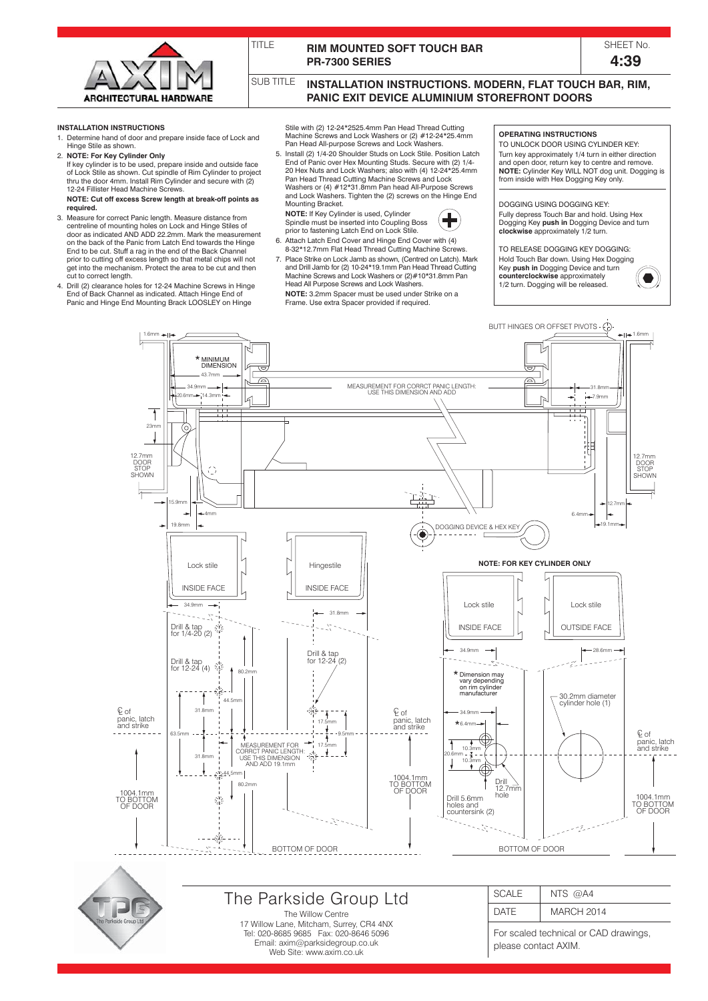

TITLE

# **RIM MOUNTED SOFT TOUCH BAR PR-7300 SERIES**

SHEET No. **4:39**

SUB TITLE **INSTALLATION INSTRUCTIONS. MODERN, FLAT TOUCH BAR, RIM, PANIC EXIT DEVICE ALUMINIUM STOREFRONT DOORS**

#### **INSTALLATION INSTRUCTIONS**

- 1. Determine hand of door and prepare inside face of Lock and Hinge Stile as shown.
- 2. **NOTE: For Key Cylinder Only** If key cylinder is to be used, prepare inside and outside face of Lock Stile as shown. Cut spindle of Rim Cylinder to project thru the door 4mm. Install Rim Cylinder and secure with (2) 12-24 Fillister Head Machine Screws.
- **NOTE: Cut off excess Screw length at break-off points as required.** 3. Measure for correct Panic length. Measure distance from
- centreline of mounting holes on Lock and Hinge Stiles of door as indicated AND ADD 22.2mm. Mark the measurement on the back of the Panic from Latch End towards the Hinge End to be cut. Stuff a rag in the end of the Back Channel prior to cutting off excess length so that metal chips will not get into the mechanism. Protect the area to be cut and then cut to correct length.
- 4. Drill (2) clearance holes for 12-24 Machine Screws in Hinge End of Back Channel as indicated. Attach Hinge End of Panic and Hinge End Mounting Brack LOOSLEY on Hinge

Stile with (2) 12-24\*2525.4mm Pan Head Thread Cutting Machine Screws and Lock Washers or (2) #12-24\*25.4mm Pan Head All-purpose Screws and Lock Washers.

5. Install (2) 1/4-20 Shoulder Studs on Lock Stile. Position Latch End of Panic over Hex Mounting Studs. Secure with (2) 1/4- 20 Hex Nuts and Lock Washers; also with (4) 12-24\*25.4mm Pan Head Thread Cutting Machine Screws and Lock Washers or (4) #12\*31.8mm Pan head All-Purpose Screws and Lock Washers. Tighten the (2) screws on the Hinge End Mounting Bracket.  **NOTE:** If Key Cylinder is used, Cylinder



- Spindle must be inserted into Coupling Boss prior to fastening Latch End on Lock Stile. 6. Attach Latch End Cover and Hinge End Cover with (4)
- 8-32\*12.7mm Flat Head Thread Cutting Machine Screws 7. Place Strike on Lock Jamb as shown, (Centred on Latch). Mark and Drill Jamb for (2) 10-24\*19.1mm Pan Head Thread Cutting Machine Screws and Lock Washers or (2)#10\*31.8mm Pan Head All Purpose Screws and Lock Washers.

 **NOTE:** 3.2mm Spacer must be used under Strike on a Frame. Use extra Spacer provided if required.

# **OPERATING INSTRUCTIONS**

TO UNLOCK DOOR USING CYLINDER KEY: Turn key approximately 1/4 turn in either direction and open door, return key to centre and remove.<br>**NOTE:** Cylinder Key WILL NOT dog unit. Dogging is<br>from inside with Hex Dogging Key only.

#### DOGGING USING DOGGING KEY: Fully depress Touch Bar and hold. Using Hex

Dogging Key **push in** Dogging Device and turn **clockwise** approximately 1/2 turn.

TO RELEASE DOGGING KEY DOGGING: Hold Touch Bar down. Using Hex Dogging Key **push in** Dogging Device and turn **counterclockwise** approximately 1/2 turn. Dogging will be released.





17 Willow Lane, Mitcham, Surrey, CR4 4NX Tel: 020-8685 9685 Fax: 020-8646 5096 Email: axim@parksidegroup.co.uk Web Site: www.axim.co.uk

For scaled technical or CAD drawings, please contact AXIM.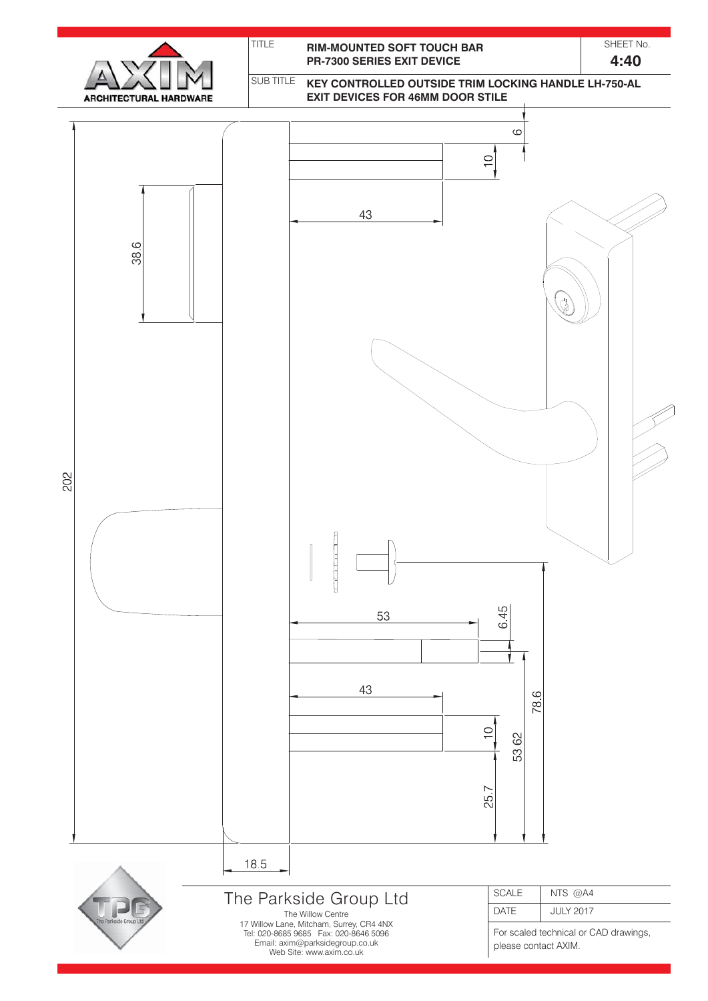